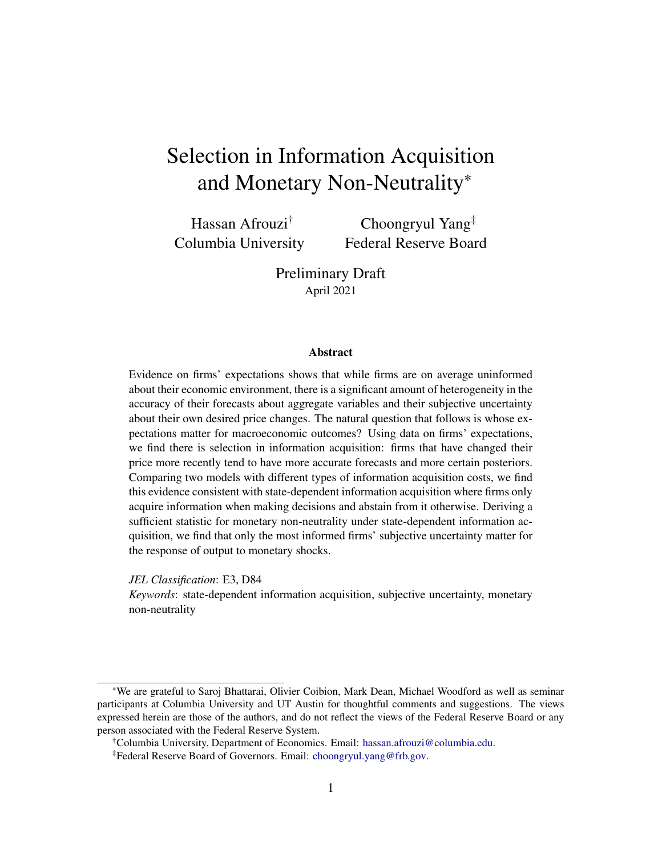## <span id="page-0-0"></span>Selection in Information Acquisition and Monetary Non-Neutrality\*

Hassan Afrouzi† Columbia University

Choongryul Yang‡ Federal Reserve Board

Preliminary Draft April 2021

#### **Abstract**

Evidence on firms' expectations shows that while firms are on average uninformed about their economic environment, there is a significant amount of heterogeneity in the accuracy of their forecasts about aggregate variables and their subjective uncertainty about their own desired price changes. The natural question that follows is whose expectations matter for macroeconomic outcomes? Using data on firms' expectations, we find there is selection in information acquisition: firms that have changed their price more recently tend to have more accurate forecasts and more certain posteriors. Comparing two models with different types of information acquisition costs, we find this evidence consistent with state-dependent information acquisition where firms only acquire information when making decisions and abstain from it otherwise. Deriving a sufficient statistic for monetary non-neutrality under state-dependent information acquisition, we find that only the most informed firms' subjective uncertainty matter for the response of output to monetary shocks.

*JEL Classification*: E3, D84

*Keywords*: state-dependent information acquisition, subjective uncertainty, monetary non-neutrality

<sup>\*</sup>We are grateful to Saroj Bhattarai, Olivier Coibion, Mark Dean, Michael Woodford as well as seminar participants at Columbia University and UT Austin for thoughtful comments and suggestions. The views expressed herein are those of the authors, and do not reflect the views of the Federal Reserve Board or any person associated with the Federal Reserve System.

<sup>†</sup>Columbia University, Department of Economics. Email: [hassan.afrouzi@columbia.edu.](mailto:hassan.afrouzi@columbia.edu)

<sup>‡</sup>Federal Reserve Board of Governors. Email: [choongryul.yang@frb.gov.](mailto:choongryul.yang@frb.gov)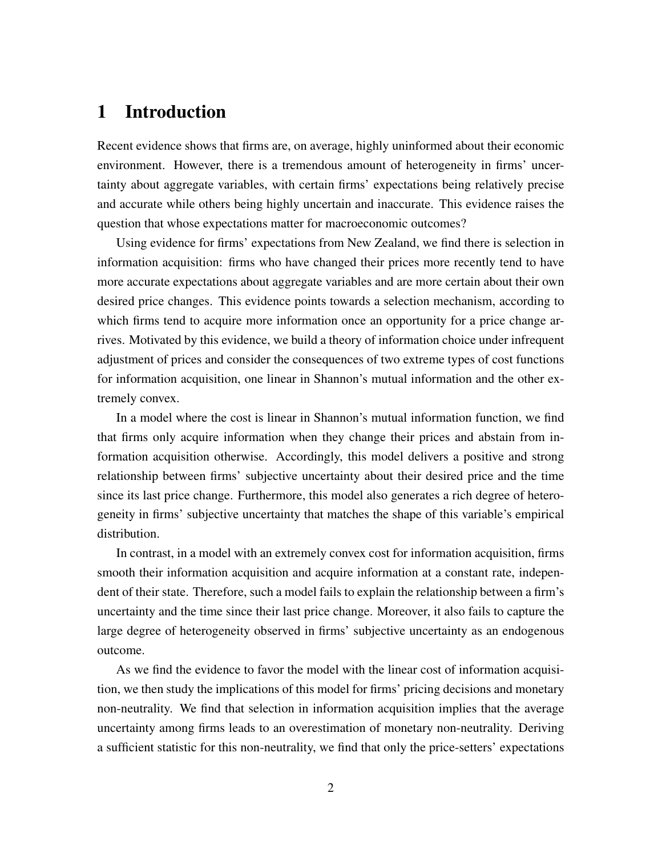## 1 Introduction

Recent evidence shows that firms are, on average, highly uninformed about their economic environment. However, there is a tremendous amount of heterogeneity in firms' uncertainty about aggregate variables, with certain firms' expectations being relatively precise and accurate while others being highly uncertain and inaccurate. This evidence raises the question that whose expectations matter for macroeconomic outcomes?

Using evidence for firms' expectations from New Zealand, we find there is selection in information acquisition: firms who have changed their prices more recently tend to have more accurate expectations about aggregate variables and are more certain about their own desired price changes. This evidence points towards a selection mechanism, according to which firms tend to acquire more information once an opportunity for a price change arrives. Motivated by this evidence, we build a theory of information choice under infrequent adjustment of prices and consider the consequences of two extreme types of cost functions for information acquisition, one linear in Shannon's mutual information and the other extremely convex.

In a model where the cost is linear in Shannon's mutual information function, we find that firms only acquire information when they change their prices and abstain from information acquisition otherwise. Accordingly, this model delivers a positive and strong relationship between firms' subjective uncertainty about their desired price and the time since its last price change. Furthermore, this model also generates a rich degree of heterogeneity in firms' subjective uncertainty that matches the shape of this variable's empirical distribution.

In contrast, in a model with an extremely convex cost for information acquisition, firms smooth their information acquisition and acquire information at a constant rate, independent of their state. Therefore, such a model fails to explain the relationship between a firm's uncertainty and the time since their last price change. Moreover, it also fails to capture the large degree of heterogeneity observed in firms' subjective uncertainty as an endogenous outcome.

As we find the evidence to favor the model with the linear cost of information acquisition, we then study the implications of this model for firms' pricing decisions and monetary non-neutrality. We find that selection in information acquisition implies that the average uncertainty among firms leads to an overestimation of monetary non-neutrality. Deriving a sufficient statistic for this non-neutrality, we find that only the price-setters' expectations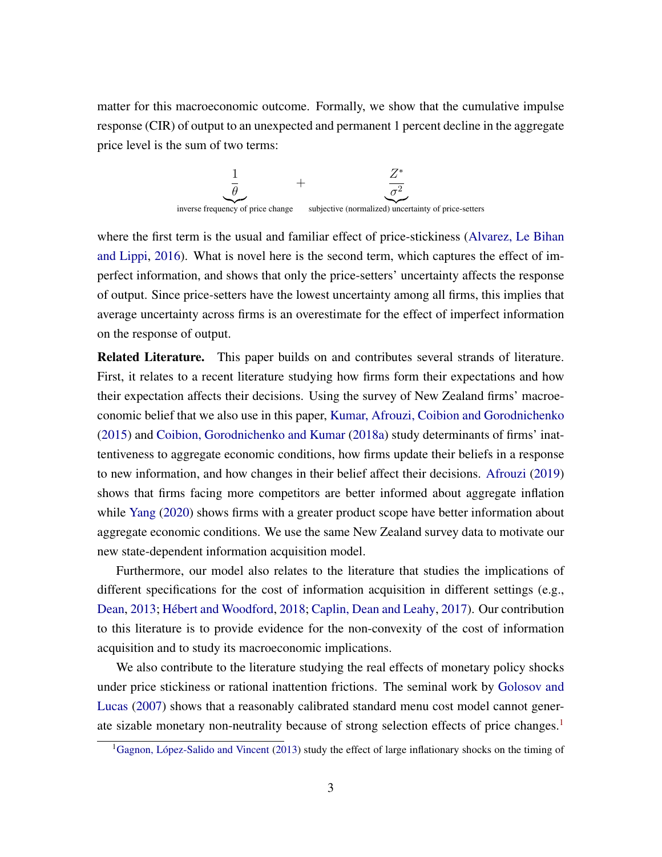matter for this macroeconomic outcome. Formally, we show that the cumulative impulse response (CIR) of output to an unexpected and permanent 1 percent decline in the aggregate price level is the sum of two terms:



where the first term is the usual and familiar effect of price-stickiness [\(Alvarez, Le Bihan](#page-22-0) [and Lippi,](#page-22-0) [2016\)](#page-22-0). What is novel here is the second term, which captures the effect of imperfect information, and shows that only the price-setters' uncertainty affects the response of output. Since price-setters have the lowest uncertainty among all firms, this implies that average uncertainty across firms is an overestimate for the effect of imperfect information on the response of output.

Related Literature. This paper builds on and contributes several strands of literature. First, it relates to a recent literature studying how firms form their expectations and how their expectation affects their decisions. Using the survey of New Zealand firms' macroeconomic belief that we also use in this paper, [Kumar, Afrouzi, Coibion and Gorodnichenko](#page-23-0) [\(2015\)](#page-23-0) and [Coibion, Gorodnichenko and Kumar](#page-22-1) [\(2018a\)](#page-22-1) study determinants of firms' inattentiveness to aggregate economic conditions, how firms update their beliefs in a response to new information, and how changes in their belief affect their decisions. [Afrouzi](#page-22-2) [\(2019\)](#page-22-2) shows that firms facing more competitors are better informed about aggregate inflation while [Yang](#page-24-0) [\(2020\)](#page-24-0) shows firms with a greater product scope have better information about aggregate economic conditions. We use the same New Zealand survey data to motivate our new state-dependent information acquisition model.

Furthermore, our model also relates to the literature that studies the implications of different specifications for the cost of information acquisition in different settings (e.g., [Dean,](#page-22-3) [2013;](#page-22-3) [Hébert and Woodford,](#page-23-1) [2018;](#page-23-1) [Caplin, Dean and Leahy,](#page-22-4) [2017\)](#page-22-4). Our contribution to this literature is to provide evidence for the non-convexity of the cost of information acquisition and to study its macroeconomic implications.

We also contribute to the literature studying the real effects of monetary policy shocks under price stickiness or rational inattention frictions. The seminal work by [Golosov and](#page-23-2) [Lucas](#page-23-2) [\(2007\)](#page-23-2) shows that a reasonably calibrated standard menu cost model cannot gener-ate sizable monetary non-neutrality because of strong selection effects of price changes.<sup>[1](#page-0-0)</sup>

<sup>&</sup>lt;sup>1</sup>[Gagnon, López-Salido and Vincent](#page-22-5) [\(2013\)](#page-22-5) study the effect of large inflationary shocks on the timing of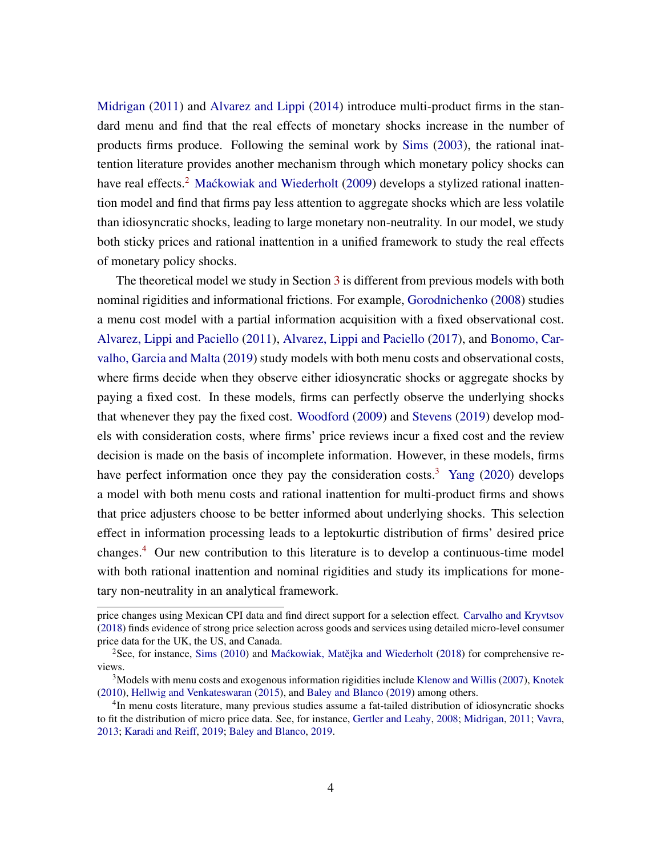[Midrigan](#page-23-3) [\(2011\)](#page-23-3) and [Alvarez and Lippi](#page-22-6) [\(2014\)](#page-22-6) introduce multi-product firms in the standard menu and find that the real effects of monetary shocks increase in the number of products firms produce. Following the seminal work by [Sims](#page-23-4) [\(2003\)](#page-23-4), the rational inattention literature provides another mechanism through which monetary policy shocks can have real effects.<sup>[2](#page-0-0)</sup> [Mackowiak and Wiederholt](#page-23-5) [\(2009\)](#page-23-5) develops a stylized rational inattention model and find that firms pay less attention to aggregate shocks which are less volatile than idiosyncratic shocks, leading to large monetary non-neutrality. In our model, we study both sticky prices and rational inattention in a unified framework to study the real effects of monetary policy shocks.

The theoretical model we study in Section [3](#page-6-0) is different from previous models with both nominal rigidities and informational frictions. For example, [Gorodnichenko](#page-23-6) [\(2008\)](#page-23-6) studies a menu cost model with a partial information acquisition with a fixed observational cost. [Alvarez, Lippi and Paciello](#page-22-7) [\(2011\)](#page-22-7), [Alvarez, Lippi and Paciello](#page-22-8) [\(2017\)](#page-22-8), and [Bonomo, Car](#page-22-9)[valho, Garcia and Malta](#page-22-9) [\(2019\)](#page-22-9) study models with both menu costs and observational costs, where firms decide when they observe either idiosyncratic shocks or aggregate shocks by paying a fixed cost. In these models, firms can perfectly observe the underlying shocks that whenever they pay the fixed cost. [Woodford](#page-23-7) [\(2009\)](#page-23-7) and [Stevens](#page-23-8) [\(2019\)](#page-23-8) develop models with consideration costs, where firms' price reviews incur a fixed cost and the review decision is made on the basis of incomplete information. However, in these models, firms have perfect information once they pay the consideration costs.<sup>[3](#page-0-0)</sup> [Yang](#page-24-0) [\(2020\)](#page-24-0) develops a model with both menu costs and rational inattention for multi-product firms and shows that price adjusters choose to be better informed about underlying shocks. This selection effect in information processing leads to a leptokurtic distribution of firms' desired price changes.[4](#page-0-0) Our new contribution to this literature is to develop a continuous-time model with both rational inattention and nominal rigidities and study its implications for monetary non-neutrality in an analytical framework.

price changes using Mexican CPI data and find direct support for a selection effect. [Carvalho and Kryvtsov](#page-22-10) [\(2018\)](#page-22-10) finds evidence of strong price selection across goods and services using detailed micro-level consumer price data for the UK, the US, and Canada.

<sup>&</sup>lt;sup>2</sup>See, for instance, [Sims](#page-23-9) [\(2010\)](#page-23-9) and Mackowiak, Matějka and Wiederholt [\(2018\)](#page-23-10) for comprehensive reviews.

 $3$ Models with menu costs and exogenous information rigidities include [Klenow and Willis](#page-23-11) [\(2007\)](#page-23-11), [Knotek](#page-23-12) [\(2010\)](#page-23-12), [Hellwig and Venkateswaran](#page-23-13) [\(2015\)](#page-23-13), and [Baley and Blanco](#page-22-11) [\(2019\)](#page-22-11) among others.

<sup>&</sup>lt;sup>4</sup>In menu costs literature, many previous studies assume a fat-tailed distribution of idiosyncratic shocks to fit the distribution of micro price data. See, for instance, [Gertler and Leahy,](#page-22-12) [2008;](#page-22-12) [Midrigan,](#page-23-3) [2011;](#page-23-3) [Vavra,](#page-23-14) [2013;](#page-23-14) [Karadi and Reiff,](#page-23-15) [2019;](#page-23-15) [Baley and Blanco,](#page-22-11) [2019.](#page-22-11)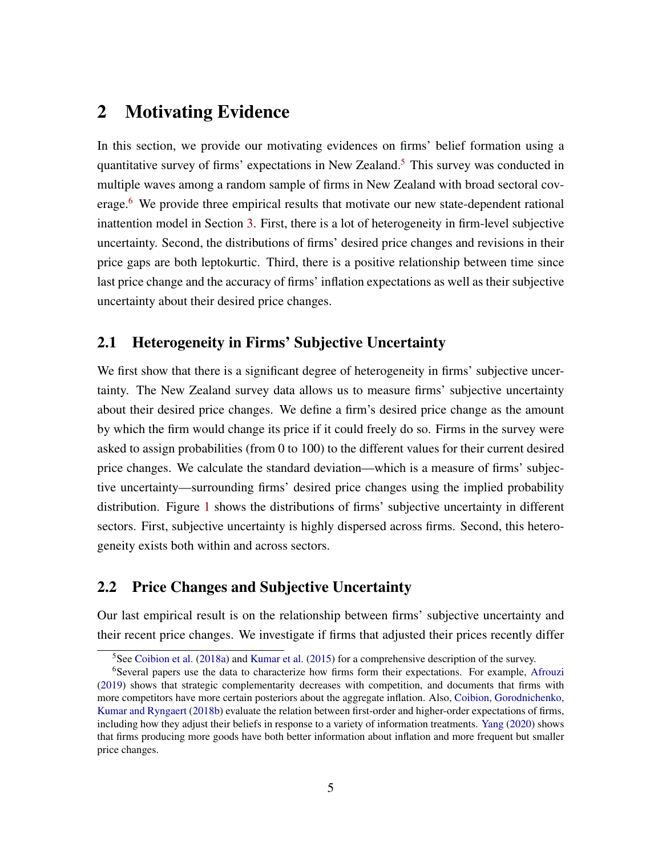## 2 Motivating Evidence

In this section, we provide our motivating evidences on firms' belief formation using a quantitative survey of firms' expectations in New Zealand.<sup>[5](#page-0-0)</sup> This survey was conducted in multiple waves among a random sample of firms in New Zealand with broad sectoral cov-erage.<sup>[6](#page-0-0)</sup> We provide three empirical results that motivate our new state-dependent rational inattention model in Section [3.](#page-6-0) First, there is a lot of heterogeneity in firm-level subjective uncertainty. Second, the distributions of firms' desired price changes and revisions in their price gaps are both leptokurtic. Third, there is a positive relationship between time since last price change and the accuracy of firms' inflation expectations as well as their subjective uncertainty about their desired price changes.

#### 2.1 Heterogeneity in Firms' Subjective Uncertainty

We first show that there is a significant degree of heterogeneity in firms' subjective uncertainty. The New Zealand survey data allows us to measure firms' subjective uncertainty about their desired price changes. We define a firm's desired price change as the amount by which the firm would change its price if it could freely do so. Firms in the survey were asked to assign probabilities (from 0 to 100) to the different values for their current desired price changes. We calculate the standard deviation—which is a measure of firms' subjective uncertainty—surrounding firms' desired price changes using the implied probability distribution. Figure [1](#page-5-0) shows the distributions of firms' subjective uncertainty in different sectors. First, subjective uncertainty is highly dispersed across firms. Second, this heterogeneity exists both within and across sectors.

#### 2.2 Price Changes and Subjective Uncertainty

Our last empirical result is on the relationship between firms' subjective uncertainty and their recent price changes. We investigate if firms that adjusted their prices recently differ

<sup>&</sup>lt;sup>5</sup>See [Coibion et al.](#page-22-1) [\(2018a\)](#page-22-1) and [Kumar et al.](#page-23-0) [\(2015\)](#page-23-0) for a comprehensive description of the survey.

<sup>6</sup>Several papers use the data to characterize how firms form their expectations. For example, [Afrouzi](#page-22-2) [\(2019\)](#page-22-2) shows that strategic complementarity decreases with competition, and documents that firms with more competitors have more certain posteriors about the aggregate inflation. Also, [Coibion, Gorodnichenko,](#page-22-13) [Kumar and Ryngaert](#page-22-13) [\(2018b\)](#page-22-13) evaluate the relation between first-order and higher-order expectations of firms, including how they adjust their beliefs in response to a variety of information treatments. [Yang](#page-24-0) [\(2020\)](#page-24-0) shows that firms producing more goods have both better information about inflation and more frequent but smaller price changes.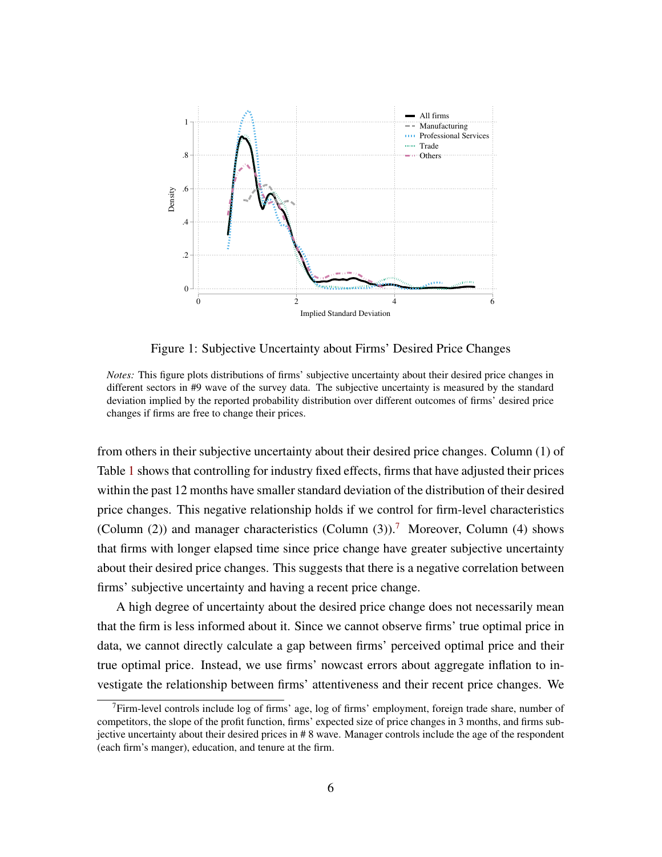<span id="page-5-0"></span>

Figure 1: Subjective Uncertainty about Firms' Desired Price Changes

*Notes:* This figure plots distributions of firms' subjective uncertainty about their desired price changes in different sectors in #9 wave of the survey data. The subjective uncertainty is measured by the standard deviation implied by the reported probability distribution over different outcomes of firms' desired price changes if firms are free to change their prices.

from others in their subjective uncertainty about their desired price changes. Column (1) of Table [1](#page-6-1) shows that controlling for industry fixed effects, firms that have adjusted their prices within the past 12 months have smaller standard deviation of the distribution of their desired price changes. This negative relationship holds if we control for firm-level characteristics (Column (2)) and manager characteristics (Column (3)).<sup>[7](#page-0-0)</sup> Moreover, Column (4) shows that firms with longer elapsed time since price change have greater subjective uncertainty about their desired price changes. This suggests that there is a negative correlation between firms' subjective uncertainty and having a recent price change.

A high degree of uncertainty about the desired price change does not necessarily mean that the firm is less informed about it. Since we cannot observe firms' true optimal price in data, we cannot directly calculate a gap between firms' perceived optimal price and their true optimal price. Instead, we use firms' nowcast errors about aggregate inflation to investigate the relationship between firms' attentiveness and their recent price changes. We

 $7$ Firm-level controls include log of firms' age, log of firms' employment, foreign trade share, number of competitors, the slope of the profit function, firms' expected size of price changes in 3 months, and firms subjective uncertainty about their desired prices in # 8 wave. Manager controls include the age of the respondent (each firm's manger), education, and tenure at the firm.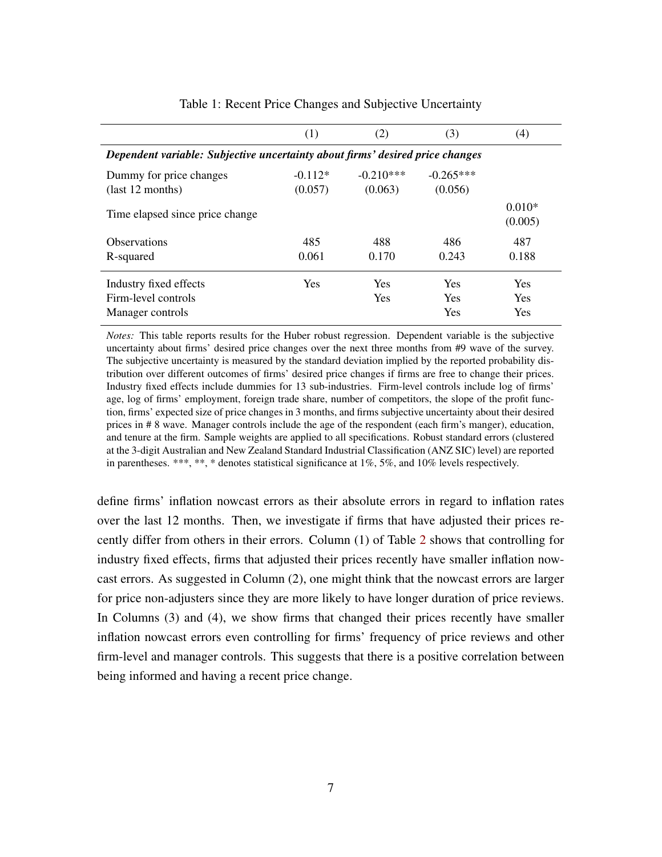<span id="page-6-1"></span>

|                                                                               | (1)        | (2)         | (3)         | (4)                 |  |  |  |
|-------------------------------------------------------------------------------|------------|-------------|-------------|---------------------|--|--|--|
| Dependent variable: Subjective uncertainty about firms' desired price changes |            |             |             |                     |  |  |  |
| Dummy for price changes                                                       | $-0.112*$  | $-0.210***$ | $-0.265***$ |                     |  |  |  |
| $\text{(last 12 months)}$                                                     | (0.057)    | (0.063)     | (0.056)     |                     |  |  |  |
| Time elapsed since price change                                               |            |             |             | $0.010*$<br>(0.005) |  |  |  |
| <b>Observations</b>                                                           | 485        | 488         | 486         | 487                 |  |  |  |
| R-squared                                                                     | 0.061      | 0.170       | 0.243       | 0.188               |  |  |  |
| Industry fixed effects                                                        | <b>Yes</b> | <b>Yes</b>  | <b>Yes</b>  | <b>Yes</b>          |  |  |  |
| Firm-level controls                                                           |            | <b>Yes</b>  | <b>Yes</b>  | <b>Yes</b>          |  |  |  |
| Manager controls                                                              |            |             | Yes         | <b>Yes</b>          |  |  |  |

Table 1: Recent Price Changes and Subjective Uncertainty

*Notes:* This table reports results for the Huber robust regression. Dependent variable is the subjective uncertainty about firms' desired price changes over the next three months from #9 wave of the survey. The subjective uncertainty is measured by the standard deviation implied by the reported probability distribution over different outcomes of firms' desired price changes if firms are free to change their prices. Industry fixed effects include dummies for 13 sub-industries. Firm-level controls include log of firms' age, log of firms' employment, foreign trade share, number of competitors, the slope of the profit function, firms' expected size of price changes in 3 months, and firms subjective uncertainty about their desired prices in # 8 wave. Manager controls include the age of the respondent (each firm's manger), education, and tenure at the firm. Sample weights are applied to all specifications. Robust standard errors (clustered at the 3-digit Australian and New Zealand Standard Industrial Classification (ANZ SIC) level) are reported in parentheses. \*\*\*, \*\*, \* denotes statistical significance at 1%, 5%, and 10% levels respectively.

<span id="page-6-0"></span>define firms' inflation nowcast errors as their absolute errors in regard to inflation rates over the last 12 months. Then, we investigate if firms that have adjusted their prices recently differ from others in their errors. Column (1) of Table [2](#page-7-0) shows that controlling for industry fixed effects, firms that adjusted their prices recently have smaller inflation nowcast errors. As suggested in Column (2), one might think that the nowcast errors are larger for price non-adjusters since they are more likely to have longer duration of price reviews. In Columns (3) and (4), we show firms that changed their prices recently have smaller inflation nowcast errors even controlling for firms' frequency of price reviews and other firm-level and manager controls. This suggests that there is a positive correlation between being informed and having a recent price change.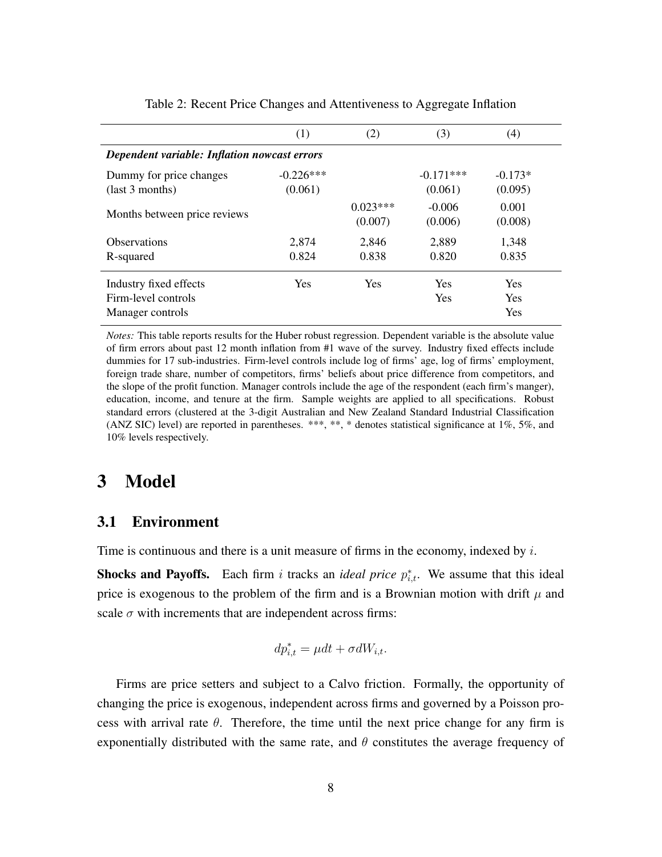<span id="page-7-0"></span>

|                                              | (1)         | (2)                   | (3)                 | (4)              |  |  |  |  |
|----------------------------------------------|-------------|-----------------------|---------------------|------------------|--|--|--|--|
| Dependent variable: Inflation nowcast errors |             |                       |                     |                  |  |  |  |  |
| Dummy for price changes                      | $-0.226***$ |                       | $-0.171***$         | $-0.173*$        |  |  |  |  |
| $uast 3$ months)                             | (0.061)     |                       | (0.061)             | (0.095)          |  |  |  |  |
| Months between price reviews                 |             | $0.023***$<br>(0.007) | $-0.006$<br>(0.006) | 0.001<br>(0.008) |  |  |  |  |
| <b>Observations</b>                          | 2,874       | 2,846                 | 2,889               | 1,348            |  |  |  |  |
| R-squared                                    | 0.824       | 0.838                 | 0.820               | 0.835            |  |  |  |  |
| Industry fixed effects                       | <b>Yes</b>  | <b>Yes</b>            | <b>Yes</b>          | <b>Yes</b>       |  |  |  |  |
| Firm-level controls                          |             |                       | <b>Yes</b>          | <b>Yes</b>       |  |  |  |  |
| Manager controls                             |             |                       |                     | <b>Yes</b>       |  |  |  |  |

Table 2: Recent Price Changes and Attentiveness to Aggregate Inflation

*Notes:* This table reports results for the Huber robust regression. Dependent variable is the absolute value of firm errors about past 12 month inflation from #1 wave of the survey. Industry fixed effects include dummies for 17 sub-industries. Firm-level controls include log of firms' age, log of firms' employment, foreign trade share, number of competitors, firms' beliefs about price difference from competitors, and the slope of the profit function. Manager controls include the age of the respondent (each firm's manger), education, income, and tenure at the firm. Sample weights are applied to all specifications. Robust standard errors (clustered at the 3-digit Australian and New Zealand Standard Industrial Classification (ANZ SIC) level) are reported in parentheses. \*\*\*, \*\*, \* denotes statistical significance at 1%, 5%, and 10% levels respectively.

## 3 Model

#### 3.1 Environment

Time is continuous and there is a unit measure of firms in the economy, indexed by  $i$ .

**Shocks and Payoffs.** Each firm i tracks an *ideal price*  $p_{i,t}^*$ . We assume that this ideal price is exogenous to the problem of the firm and is a Brownian motion with drift  $\mu$  and scale  $\sigma$  with increments that are independent across firms:

$$
dp_{i,t}^* = \mu dt + \sigma dW_{i,t}.
$$

Firms are price setters and subject to a Calvo friction. Formally, the opportunity of changing the price is exogenous, independent across firms and governed by a Poisson process with arrival rate  $\theta$ . Therefore, the time until the next price change for any firm is exponentially distributed with the same rate, and  $\theta$  constitutes the average frequency of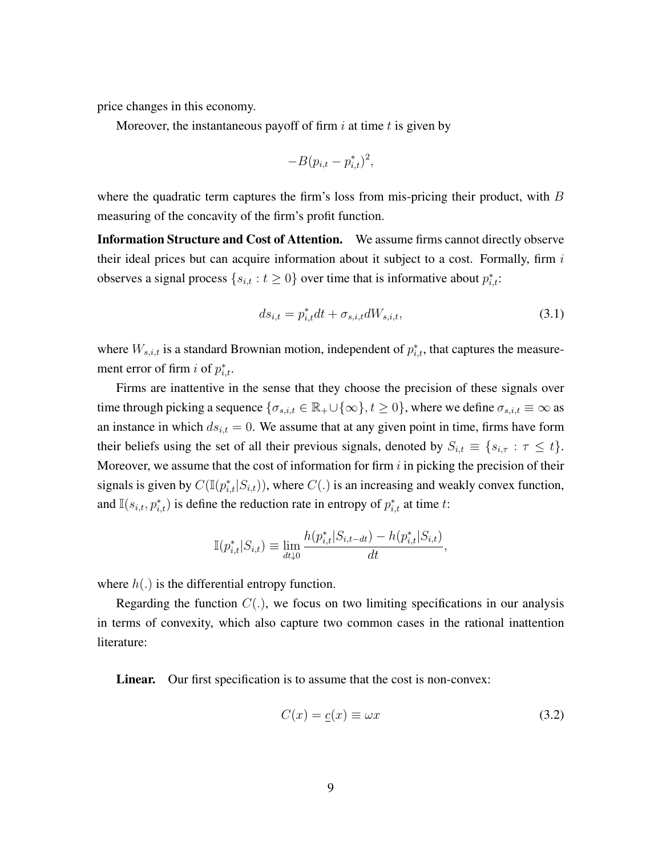price changes in this economy.

Moreover, the instantaneous payoff of firm  $i$  at time  $t$  is given by

$$
-B(p_{i,t} - p_{i,t}^*)^2,
$$

where the quadratic term captures the firm's loss from mis-pricing their product, with  $B$ measuring of the concavity of the firm's profit function.

Information Structure and Cost of Attention. We assume firms cannot directly observe their ideal prices but can acquire information about it subject to a cost. Formally, firm  $i$ observes a signal process  $\{s_{i,t} : t \geq 0\}$  over time that is informative about  $p_{i,t}^*$ :

<span id="page-8-1"></span>
$$
ds_{i,t} = p_{i,t}^* dt + \sigma_{s,i,t} dW_{s,i,t},
$$
\n(3.1)

where  $W_{s,i,t}$  is a standard Brownian motion, independent of  $p_{i,t}^*$ , that captures the measurement error of firm *i* of  $p_{i,t}^*$ .

Firms are inattentive in the sense that they choose the precision of these signals over time through picking a sequence  $\{\sigma_{s,i,t} \in \mathbb{R}_+ \cup \{\infty\}, t \geq 0\}$ , where we define  $\sigma_{s,i,t} \equiv \infty$  as an instance in which  $ds_{i,t} = 0$ . We assume that at any given point in time, firms have form their beliefs using the set of all their previous signals, denoted by  $S_{i,t} \equiv \{s_{i,\tau} : \tau \leq t\}.$ Moreover, we assume that the cost of information for firm  $i$  in picking the precision of their signals is given by  $C(\mathbb{I}(p_{i,t}^* | S_{i,t}))$ , where  $C(.)$  is an increasing and weakly convex function, and  $\mathbb{I}(s_{i,t}, p_{i,t}^*)$  is define the reduction rate in entropy of  $p_{i,t}^*$  at time t:

$$
\mathbb{I}(p_{i,t}^*|S_{i,t}) \equiv \lim_{dt \downarrow 0} \frac{h(p_{i,t}^*|S_{i,t-dt}) - h(p_{i,t}^*|S_{i,t})}{dt},
$$

where  $h(.)$  is the differential entropy function.

Regarding the function  $C(.)$ , we focus on two limiting specifications in our analysis in terms of convexity, which also capture two common cases in the rational inattention literature:

Linear. Our first specification is to assume that the cost is non-convex:

<span id="page-8-0"></span>
$$
C(x) = \underline{c}(x) \equiv \omega x \tag{3.2}
$$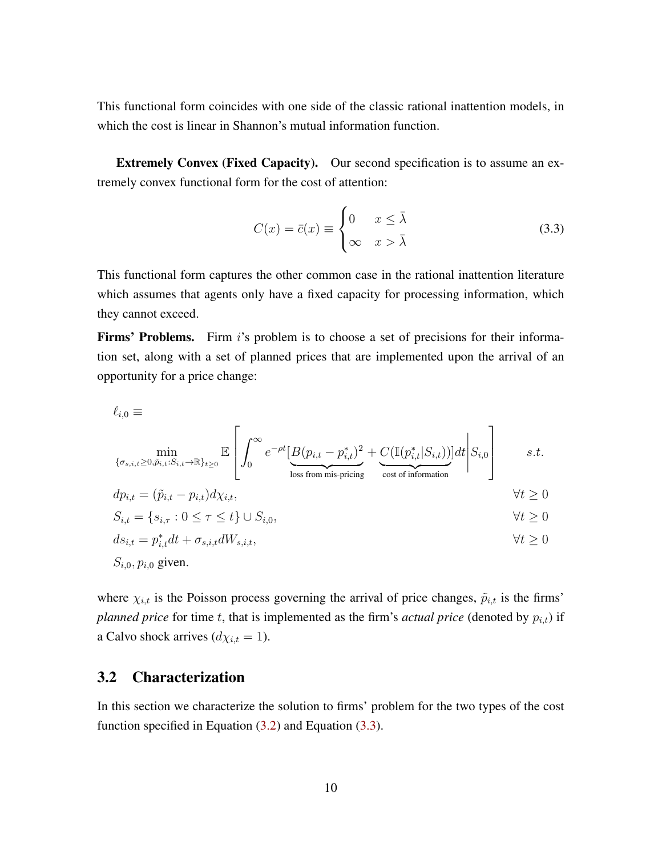This functional form coincides with one side of the classic rational inattention models, in which the cost is linear in Shannon's mutual information function.

Extremely Convex (Fixed Capacity). Our second specification is to assume an extremely convex functional form for the cost of attention:

<span id="page-9-0"></span>
$$
C(x) = \bar{c}(x) \equiv \begin{cases} 0 & x \le \bar{\lambda} \\ \infty & x > \bar{\lambda} \end{cases} \tag{3.3}
$$

This functional form captures the other common case in the rational inattention literature which assumes that agents only have a fixed capacity for processing information, which they cannot exceed.

**Firms' Problems.** Firm i's problem is to choose a set of precisions for their information set, along with a set of planned prices that are implemented upon the arrival of an opportunity for a price change:

$$
\ell_{i,0} \equiv \min_{\{\sigma_{s,i,t} \ge 0, \tilde{p}_{i,t}: S_{i,t} \to \mathbb{R}\}_{t \ge 0}} \mathbb{E}\left[\int_0^\infty e^{-\rho t} \left[\frac{B(p_{i,t} - p_{i,t}^*)^2 + C(\mathbb{I}(p_{i,t}^* | S_{i,t}))}{\text{loss from mis-pricing}}\right] dt \middle| S_{i,0}\right] \qquad s.t.
$$
\n
$$
dp_{i,t} = (\tilde{p}_{i,t} - p_{i,t})d\chi_{i,t},
$$
\n
$$
S_{i,t} = \{s_{i,\tau}: 0 \le \tau \le t\} \cup S_{i,0},
$$
\n
$$
ds_{i,t} = p_{i,t}^* dt + \sigma_{s,i,t} dW_{s,i,t},
$$
\n
$$
\forall t \ge 0
$$
\n
$$
S_{i,0}, p_{i,0} \text{ given.}
$$
\n
$$
y_{i,t} = \sum_{i=1}^{n} \sum_{j=1}^{n} d\mathbf{x}_{i,t} dW_{s,i,t},
$$
\n
$$
\forall t \ge 0
$$

where  $\chi_{i,t}$  is the Poisson process governing the arrival of price changes,  $\tilde{p}_{i,t}$  is the firms' *planned price* for time t, that is implemented as the firm's *actual price* (denoted by  $p_{i,t}$ ) if a Calvo shock arrives  $(d\chi_{i,t} = 1)$ .

#### 3.2 Characterization

In this section we characterize the solution to firms' problem for the two types of the cost function specified in Equation [\(3.2\)](#page-8-0) and Equation [\(3.3\)](#page-9-0).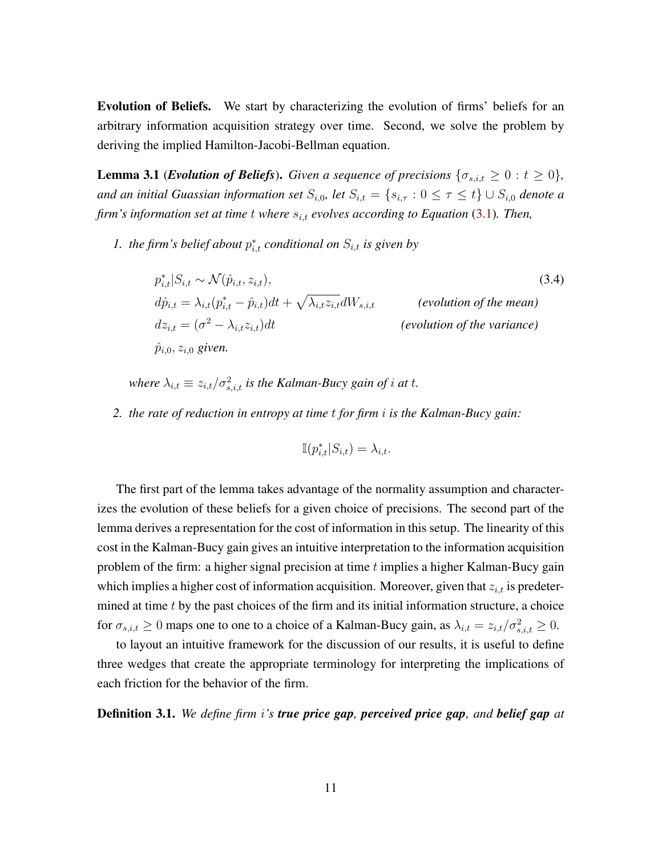Evolution of Beliefs. We start by characterizing the evolution of firms' beliefs for an arbitrary information acquisition strategy over time. Second, we solve the problem by deriving the implied Hamilton-Jacobi-Bellman equation.

<span id="page-10-0"></span>**Lemma 3.1** (*Evolution of Beliefs*). *Given a sequence of precisions*  $\{\sigma_{s,i,t} \geq 0 : t \geq 0\}$ , *and an initial Guassian information set*  $S_{i,0}$ , *let*  $S_{i,t} = \{s_{i,\tau} : 0 \leq \tau \leq t\} \cup S_{i,0}$  *denote a firm's information set at time t where*  $s_{i,t}$  *evolves according to Equation* [\(3.1\)](#page-8-1). Then,

*1.* the firm's belief about  $p_{i,t}^*$  conditional on  $S_{i,t}$  is given by

$$
p_{i,t}^* | S_{i,t} \sim \mathcal{N}(\hat{p}_{i,t}, z_{i,t}),
$$
\n
$$
d\hat{p}_{i,t} = \lambda_{i,t} (p_{i,t}^* - \hat{p}_{i,t}) dt + \sqrt{\lambda_{i,t} z_{i,t}} dW_{s,i,t}
$$
\n
$$
(evolution of the mean)
$$
\n
$$
dz_{i,t} = (\sigma^2 - \lambda_{i,t} z_{i,t}) dt
$$
\n
$$
(\text{evolution of the variance})
$$
\n
$$
\hat{p}_{i,0}, z_{i,0} \text{ given.}
$$
\n
$$
(evolution of the variance)
$$

where  $\lambda_{i,t} \equiv z_{i,t}/\sigma_{s,i,t}^2$  is the Kalman-Bucy gain of *i* at *t*.

*2. the rate of reduction in entropy at time* t *for firm* i *is the Kalman-Bucy gain:*

<span id="page-10-1"></span>
$$
\mathbb{I}(p_{i,t}^*|S_{i,t}) = \lambda_{i,t}.
$$

The first part of the lemma takes advantage of the normality assumption and characterizes the evolution of these beliefs for a given choice of precisions. The second part of the lemma derives a representation for the cost of information in this setup. The linearity of this cost in the Kalman-Bucy gain gives an intuitive interpretation to the information acquisition problem of the firm: a higher signal precision at time  $t$  implies a higher Kalman-Bucy gain which implies a higher cost of information acquisition. Moreover, given that  $z_{i,t}$  is predetermined at time  $t$  by the past choices of the firm and its initial information structure, a choice for  $\sigma_{s,i,t} \ge 0$  maps one to one to a choice of a Kalman-Bucy gain, as  $\lambda_{i,t} = z_{i,t}/\sigma_{s,i,t}^2 \ge 0$ .

to layout an intuitive framework for the discussion of our results, it is useful to define three wedges that create the appropriate terminology for interpreting the implications of each friction for the behavior of the firm.

<span id="page-10-2"></span>Definition 3.1. *We define firm* i*'s true price gap, perceived price gap, and belief gap at*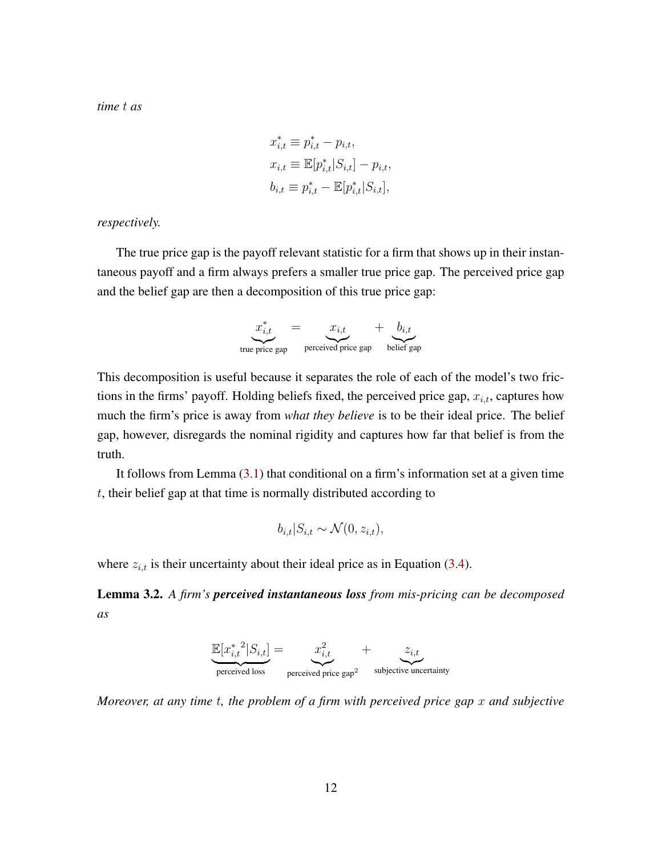*time* t *as*

$$
x_{i,t}^* \equiv p_{i,t}^* - p_{i,t},
$$
  
\n
$$
x_{i,t} \equiv \mathbb{E}[p_{i,t}^* | S_{i,t}] - p_{i,t},
$$
  
\n
$$
b_{i,t} \equiv p_{i,t}^* - \mathbb{E}[p_{i,t}^* | S_{i,t}],
$$

*respectively.*

The true price gap is the payoff relevant statistic for a firm that shows up in their instantaneous payoff and a firm always prefers a smaller true price gap. The perceived price gap and the belief gap are then a decomposition of this true price gap:

$$
x_{i,t}^* = x_{i,t} + b_{i,t}
$$
  
true price gap  
perceived price gap  
belief gap

This decomposition is useful because it separates the role of each of the model's two frictions in the firms' payoff. Holding beliefs fixed, the perceived price gap,  $x_{i,t}$ , captures how much the firm's price is away from *what they believe* is to be their ideal price. The belief gap, however, disregards the nominal rigidity and captures how far that belief is from the truth.

It follows from Lemma  $(3.1)$  that conditional on a firm's information set at a given time t, their belief gap at that time is normally distributed according to

$$
b_{i,t}|S_{i,t} \sim \mathcal{N}(0, z_{i,t}),
$$

where  $z_{i,t}$  is their uncertainty about their ideal price as in Equation [\(3.4\)](#page-10-1).

Lemma 3.2. *A firm's perceived instantaneous loss from mis-pricing can be decomposed as*

$$
\underbrace{\mathbb{E}[x_{i,t}^{* \ 2}|S_{i,t}]}_{\text{perceived loss}} = \underbrace{x_{i,t}^2}_{\text{perceived price gap}^2} + \underbrace{z_{i,t}}_{\text{subjective uncertainty}}
$$

*Moreover, at any time* t*, the problem of a firm with perceived price gap* x *and subjective*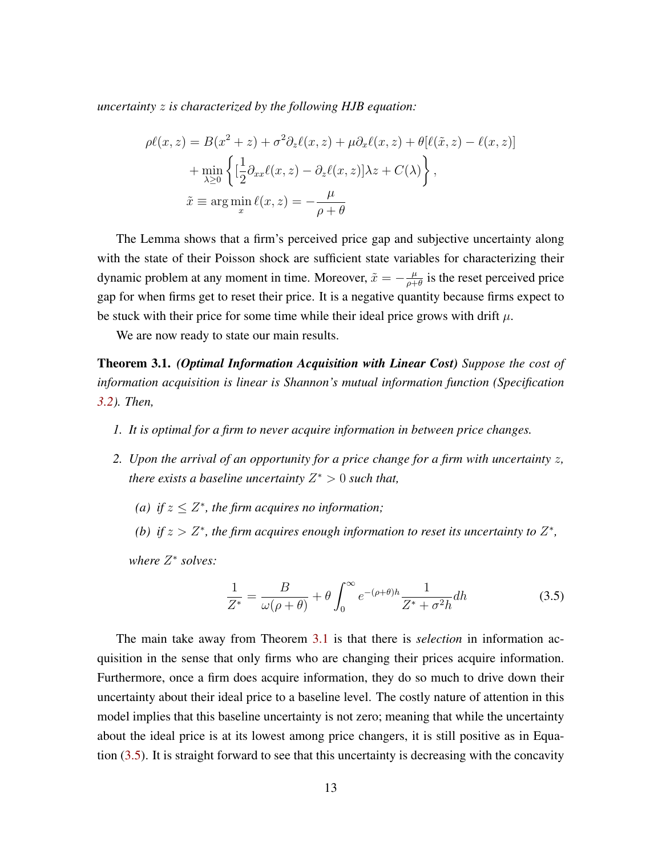*uncertainty* z *is characterized by the following HJB equation:*

$$
\rho \ell(x, z) = B(x^2 + z) + \sigma^2 \partial_z \ell(x, z) + \mu \partial_x \ell(x, z) + \theta [\ell(\tilde{x}, z) - \ell(x, z)]
$$

$$
+ \min_{\lambda \ge 0} \left\{ \left[ \frac{1}{2} \partial_{xx} \ell(x, z) - \partial_z \ell(x, z) \right] \lambda z + C(\lambda) \right\},
$$

$$
\tilde{x} \equiv \arg \min_x \ell(x, z) = -\frac{\mu}{\rho + \theta}
$$

The Lemma shows that a firm's perceived price gap and subjective uncertainty along with the state of their Poisson shock are sufficient state variables for characterizing their dynamic problem at any moment in time. Moreover,  $\tilde{x} = -\frac{\mu}{\rho + \mu}$  $\frac{\mu}{\rho+\theta}$  is the reset perceived price gap for when firms get to reset their price. It is a negative quantity because firms expect to be stuck with their price for some time while their ideal price grows with drift  $\mu$ .

We are now ready to state our main results.

<span id="page-12-0"></span>Theorem 3.1. *(Optimal Information Acquisition with Linear Cost) Suppose the cost of information acquisition is linear is Shannon's mutual information function (Specification [3.2\)](#page-8-0). Then,*

- *1. It is optimal for a firm to never acquire information in between price changes.*
- *2. Upon the arrival of an opportunity for a price change for a firm with uncertainty* z*, there exists a baseline uncertainty* Z <sup>∗</sup> > 0 *such that,*
	- (a) if  $z \leq Z^*$ , the firm acquires no information;
	- *(b)* if  $z > Z^*$ , the firm acquires enough information to reset its uncertainty to  $Z^*$ ,

*where* Z ∗ *solves:*

<span id="page-12-1"></span>
$$
\frac{1}{Z^*} = \frac{B}{\omega(\rho+\theta)} + \theta \int_0^\infty e^{-(\rho+\theta)h} \frac{1}{Z^* + \sigma^2 h} dh \tag{3.5}
$$

The main take away from Theorem [3.1](#page-12-0) is that there is *selection* in information acquisition in the sense that only firms who are changing their prices acquire information. Furthermore, once a firm does acquire information, they do so much to drive down their uncertainty about their ideal price to a baseline level. The costly nature of attention in this model implies that this baseline uncertainty is not zero; meaning that while the uncertainty about the ideal price is at its lowest among price changers, it is still positive as in Equation [\(3.5\)](#page-12-1). It is straight forward to see that this uncertainty is decreasing with the concavity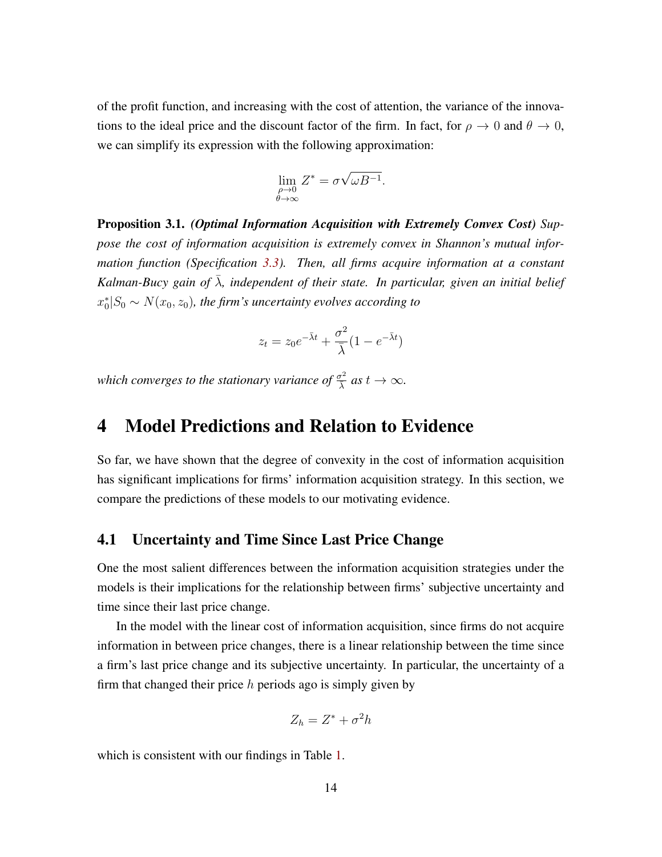of the profit function, and increasing with the cost of attention, the variance of the innovations to the ideal price and the discount factor of the firm. In fact, for  $\rho \to 0$  and  $\theta \to 0$ , we can simplify its expression with the following approximation:

$$
\lim_{\substack{\rho \to 0 \\ \theta \to \infty}} Z^* = \sigma \sqrt{\omega B^{-1}}.
$$

<span id="page-13-0"></span>Proposition 3.1. *(Optimal Information Acquisition with Extremely Convex Cost) Suppose the cost of information acquisition is extremely convex in Shannon's mutual information function (Specification [3.3\)](#page-9-0). Then, all firms acquire information at a constant Kalman-Bucy gain of*  $\bar{\lambda}$ *, independent of their state. In particular, given an initial belief*  $x_0^*|S_0 \sim N(x_0, z_0)$ , the firm's uncertainty evolves according to

$$
z_t = z_0 e^{-\bar{\lambda}t} + \frac{\sigma^2}{\bar{\lambda}} (1 - e^{-\bar{\lambda}t})
$$

*which converges to the stationary variance of*  $\frac{\sigma^2}{\lambda}$  *as*  $t \to \infty$ *.* 

## 4 Model Predictions and Relation to Evidence

So far, we have shown that the degree of convexity in the cost of information acquisition has significant implications for firms' information acquisition strategy. In this section, we compare the predictions of these models to our motivating evidence.

#### 4.1 Uncertainty and Time Since Last Price Change

One the most salient differences between the information acquisition strategies under the models is their implications for the relationship between firms' subjective uncertainty and time since their last price change.

In the model with the linear cost of information acquisition, since firms do not acquire information in between price changes, there is a linear relationship between the time since a firm's last price change and its subjective uncertainty. In particular, the uncertainty of a firm that changed their price  $h$  periods ago is simply given by

$$
Z_h = Z^* + \sigma^2 h
$$

which is consistent with our findings in Table [1.](#page-6-1)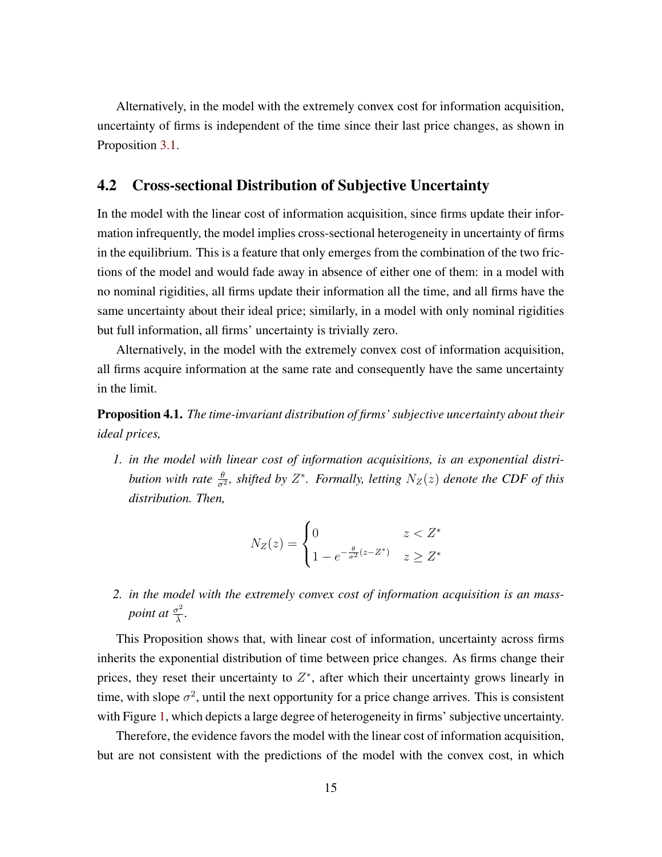Alternatively, in the model with the extremely convex cost for information acquisition, uncertainty of firms is independent of the time since their last price changes, as shown in Proposition [3.1.](#page-13-0)

#### 4.2 Cross-sectional Distribution of Subjective Uncertainty

In the model with the linear cost of information acquisition, since firms update their information infrequently, the model implies cross-sectional heterogeneity in uncertainty of firms in the equilibrium. This is a feature that only emerges from the combination of the two frictions of the model and would fade away in absence of either one of them: in a model with no nominal rigidities, all firms update their information all the time, and all firms have the same uncertainty about their ideal price; similarly, in a model with only nominal rigidities but full information, all firms' uncertainty is trivially zero.

Alternatively, in the model with the extremely convex cost of information acquisition, all firms acquire information at the same rate and consequently have the same uncertainty in the limit.

Proposition 4.1. *The time-invariant distribution of firms' subjective uncertainty about their ideal prices,*

*1. in the model with linear cost of information acquisitions, is an exponential distribution with rate*  $\frac{\theta}{\sigma^2}$ , shifted by  $Z^*$ . Formally, letting  $N_Z(z)$  denote the CDF of this *distribution. Then,*

$$
N_Z(z) = \begin{cases} 0 & z < Z^* \\ 1 - e^{-\frac{\theta}{\sigma^2}(z - Z^*)} & z \ge Z^* \end{cases}
$$

*2. in the model with the extremely convex cost of information acquisition is an masspoint at*  $\frac{\sigma^2}{\lambda}$ λ¯ *.*

This Proposition shows that, with linear cost of information, uncertainty across firms inherits the exponential distribution of time between price changes. As firms change their prices, they reset their uncertainty to  $Z^*$ , after which their uncertainty grows linearly in time, with slope  $\sigma^2$ , until the next opportunity for a price change arrives. This is consistent with Figure [1,](#page-5-0) which depicts a large degree of heterogeneity in firms' subjective uncertainty.

Therefore, the evidence favors the model with the linear cost of information acquisition, but are not consistent with the predictions of the model with the convex cost, in which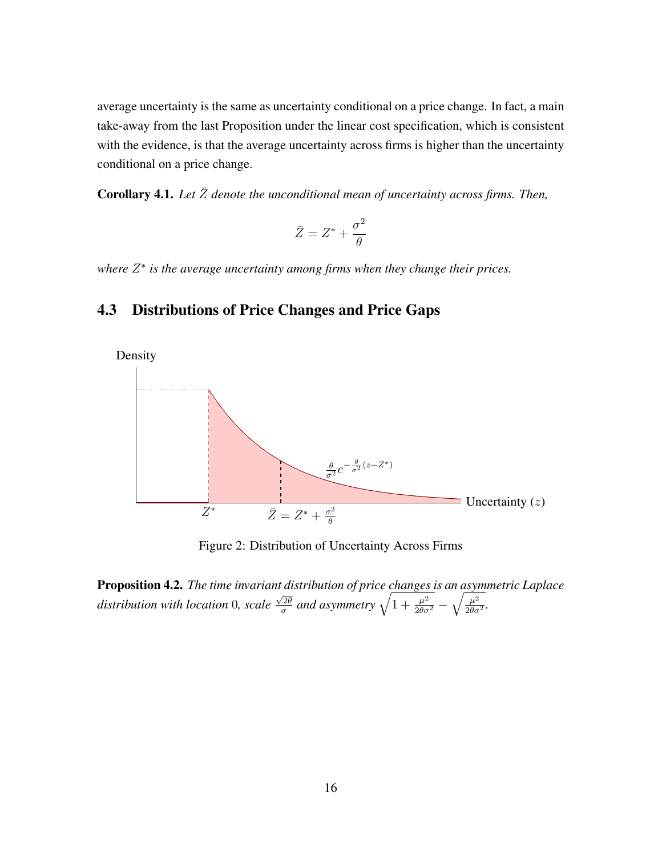average uncertainty is the same as uncertainty conditional on a price change. In fact, a main take-away from the last Proposition under the linear cost specification, which is consistent with the evidence, is that the average uncertainty across firms is higher than the uncertainty conditional on a price change.

**Corollary 4.1.** Let  $\bar{Z}$  denote the unconditional mean of uncertainty across firms. Then,

$$
\bar{Z} = Z^* + \frac{\sigma^2}{\theta}
$$

*where* Z ∗ *is the average uncertainty among firms when they change their prices.*

#### 4.3 Distributions of Price Changes and Price Gaps



Figure 2: Distribution of Uncertainty Across Firms

Proposition 4.2. *The time invariant distribution of price changes is an asymmetric Laplace distribution with location* 0*, scale*  $\sqrt{2\theta}$  $\frac{\sqrt{2\theta}}{\sigma}$  and asymmetry  $\sqrt{1+\frac{\mu^2}{2\theta\sigma^2}}-\sqrt{\frac{\mu^2}{2\theta\sigma^2}}$  $\frac{\mu^2}{2\theta\sigma^2}$ .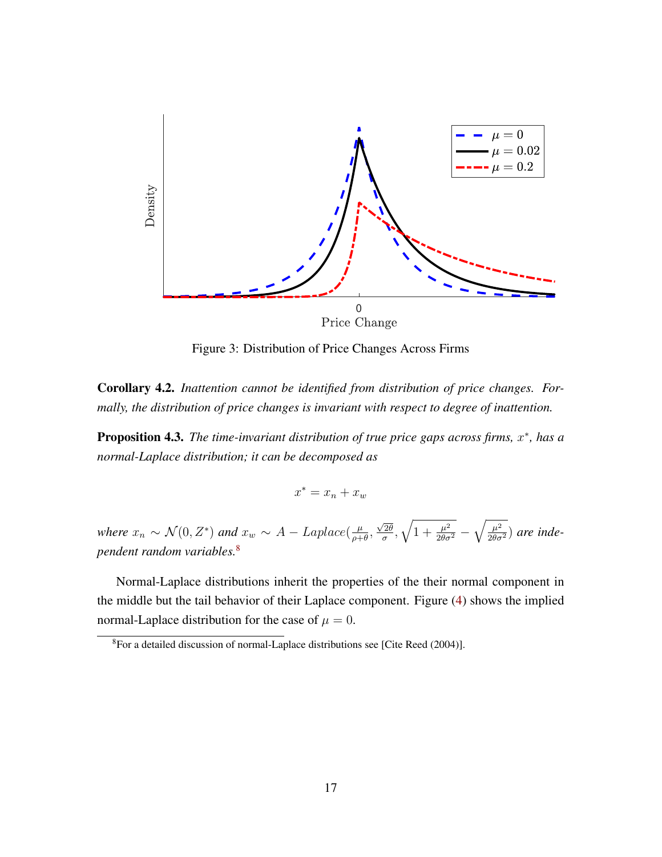

Figure 3: Distribution of Price Changes Across Firms

Corollary 4.2. *Inattention cannot be identified from distribution of price changes. Formally, the distribution of price changes is invariant with respect to degree of inattention.*

**Proposition 4.3.** The time-invariant distribution of true price gaps across firms, x<sup>\*</sup>, has a *normal-Laplace distribution; it can be decomposed as*

$$
x^* = x_n + x_w
$$

*where*  $x_n \sim \mathcal{N}(0, Z^*)$  *and*  $x_w \sim A - Laplace(\frac{\mu}{\sigma^2})$  $\frac{\mu}{\rho+\theta}$ ,  $\sqrt{2\theta}$  $\sqrt{\frac{2\theta}{\sigma}}, \sqrt{1+\frac{\mu^2}{2\theta\sigma^2}}-\sqrt{\frac{\mu^2}{2\theta\sigma^2}})$  are inde*pendent random variables.*[8](#page-0-0)

Normal-Laplace distributions inherit the properties of the their normal component in the middle but the tail behavior of their Laplace component. Figure [\(4\)](#page-17-0) shows the implied normal-Laplace distribution for the case of  $\mu = 0$ .

<sup>8</sup>For a detailed discussion of normal-Laplace distributions see [Cite Reed (2004)].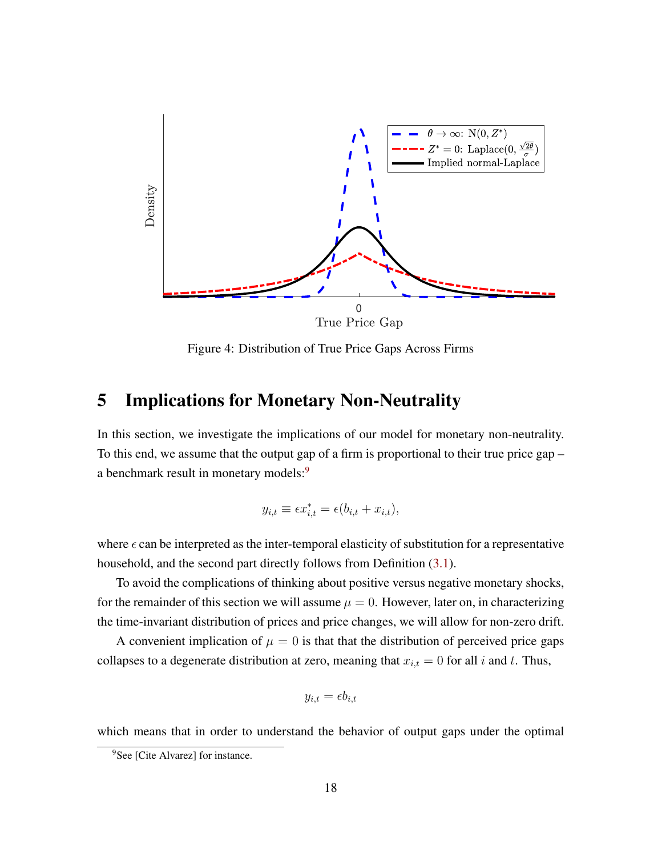<span id="page-17-0"></span>

Figure 4: Distribution of True Price Gaps Across Firms

## <span id="page-17-1"></span>5 Implications for Monetary Non-Neutrality

In this section, we investigate the implications of our model for monetary non-neutrality. To this end, we assume that the output gap of a firm is proportional to their true price gap – a benchmark result in monetary models:<sup>[9](#page-0-0)</sup>

$$
y_{i,t} \equiv \epsilon x_{i,t}^* = \epsilon (b_{i,t} + x_{i,t}),
$$

where  $\epsilon$  can be interpreted as the inter-temporal elasticity of substitution for a representative household, and the second part directly follows from Definition [\(3.1\)](#page-10-2).

To avoid the complications of thinking about positive versus negative monetary shocks, for the remainder of this section we will assume  $\mu = 0$ . However, later on, in characterizing the time-invariant distribution of prices and price changes, we will allow for non-zero drift.

A convenient implication of  $\mu = 0$  is that that the distribution of perceived price gaps collapses to a degenerate distribution at zero, meaning that  $x_{i,t} = 0$  for all i and t. Thus,

$$
y_{i,t} = \epsilon b_{i,t}
$$

which means that in order to understand the behavior of output gaps under the optimal

<sup>&</sup>lt;sup>9</sup>See [Cite Alvarez] for instance.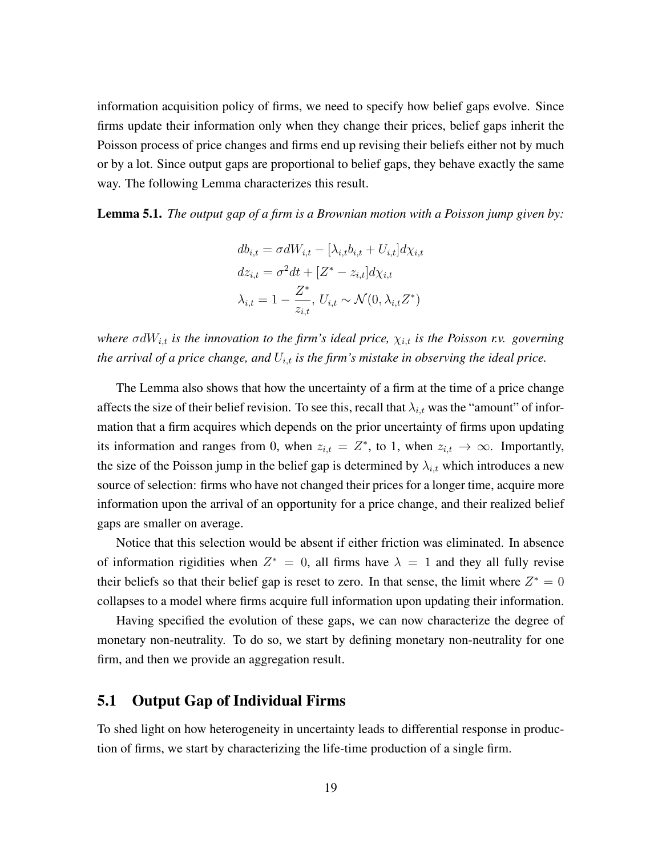information acquisition policy of firms, we need to specify how belief gaps evolve. Since firms update their information only when they change their prices, belief gaps inherit the Poisson process of price changes and firms end up revising their beliefs either not by much or by a lot. Since output gaps are proportional to belief gaps, they behave exactly the same way. The following Lemma characterizes this result.

<span id="page-18-0"></span>Lemma 5.1. *The output gap of a firm is a Brownian motion with a Poisson jump given by:*

$$
db_{i,t} = \sigma dW_{i,t} - [\lambda_{i,t}b_{i,t} + U_{i,t}]d\chi_{i,t}
$$

$$
dz_{i,t} = \sigma^2 dt + [Z^* - z_{i,t}]d\chi_{i,t}
$$

$$
\lambda_{i,t} = 1 - \frac{Z^*}{z_{i,t}}, U_{i,t} \sim \mathcal{N}(0, \lambda_{i,t}Z^*)
$$

*where*  $\sigma dW_{i,t}$  *is the innovation to the firm's ideal price,*  $\chi_{i,t}$  *is the Poisson r.v. governing the arrival of a price change, and*  $U_{i,t}$  *is the firm's mistake in observing the ideal price.* 

The Lemma also shows that how the uncertainty of a firm at the time of a price change affects the size of their belief revision. To see this, recall that  $\lambda_{i,t}$  was the "amount" of information that a firm acquires which depends on the prior uncertainty of firms upon updating its information and ranges from 0, when  $z_{i,t} = Z^*$ , to 1, when  $z_{i,t} \to \infty$ . Importantly, the size of the Poisson jump in the belief gap is determined by  $\lambda_{i,t}$  which introduces a new source of selection: firms who have not changed their prices for a longer time, acquire more information upon the arrival of an opportunity for a price change, and their realized belief gaps are smaller on average.

Notice that this selection would be absent if either friction was eliminated. In absence of information rigidities when  $Z^* = 0$ , all firms have  $\lambda = 1$  and they all fully revise their beliefs so that their belief gap is reset to zero. In that sense, the limit where  $Z^* = 0$ collapses to a model where firms acquire full information upon updating their information.

Having specified the evolution of these gaps, we can now characterize the degree of monetary non-neutrality. To do so, we start by defining monetary non-neutrality for one firm, and then we provide an aggregation result.

#### 5.1 Output Gap of Individual Firms

To shed light on how heterogeneity in uncertainty leads to differential response in production of firms, we start by characterizing the life-time production of a single firm.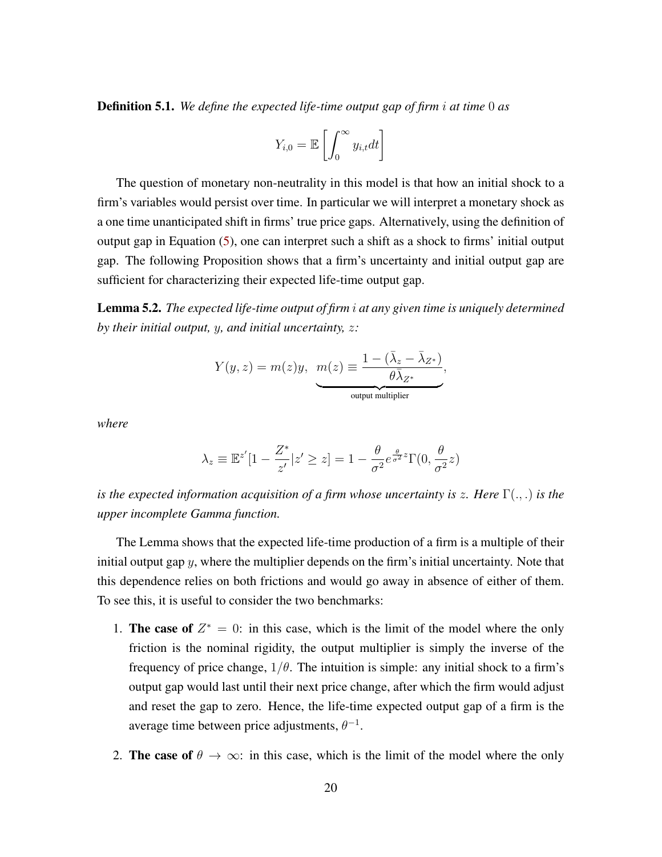Definition 5.1. *We define the expected life-time output gap of firm* i *at time* 0 *as*

$$
Y_{i,0} = \mathbb{E}\left[\int_0^\infty y_{i,t} dt\right]
$$

The question of monetary non-neutrality in this model is that how an initial shock to a firm's variables would persist over time. In particular we will interpret a monetary shock as a one time unanticipated shift in firms' true price gaps. Alternatively, using the definition of output gap in Equation [\(5\)](#page-17-1), one can interpret such a shift as a shock to firms' initial output gap. The following Proposition shows that a firm's uncertainty and initial output gap are sufficient for characterizing their expected life-time output gap.

<span id="page-19-0"></span>Lemma 5.2. *The expected life-time output of firm* i *at any given time is uniquely determined by their initial output,* y*, and initial uncertainty,* z*:*

$$
Y(y,z)=m(z)y, \ \underbrace{m(z)}_{\text{output multiplier}}, \nonumber \\ \underbrace{1-(\bar{\lambda}_z-\bar{\lambda}_{Z^*})}_{\text{output multiplier}},
$$

*where*

$$
\lambda_z \equiv \mathbb{E}^{z'}[1 - \frac{Z^*}{z'}|z' \ge z] = 1 - \frac{\theta}{\sigma^2} e^{\frac{\theta}{\sigma^2}z} \Gamma(0, \frac{\theta}{\sigma^2}z)
$$

*is the expected information acquisition of a firm whose uncertainty is* z*. Here* Γ(., .) *is the upper incomplete Gamma function.*

The Lemma shows that the expected life-time production of a firm is a multiple of their initial output gap  $y$ , where the multiplier depends on the firm's initial uncertainty. Note that this dependence relies on both frictions and would go away in absence of either of them. To see this, it is useful to consider the two benchmarks:

- 1. The case of  $Z^* = 0$ : in this case, which is the limit of the model where the only friction is the nominal rigidity, the output multiplier is simply the inverse of the frequency of price change,  $1/\theta$ . The intuition is simple: any initial shock to a firm's output gap would last until their next price change, after which the firm would adjust and reset the gap to zero. Hence, the life-time expected output gap of a firm is the average time between price adjustments,  $\theta^{-1}$ .
- 2. The case of  $\theta \to \infty$ : in this case, which is the limit of the model where the only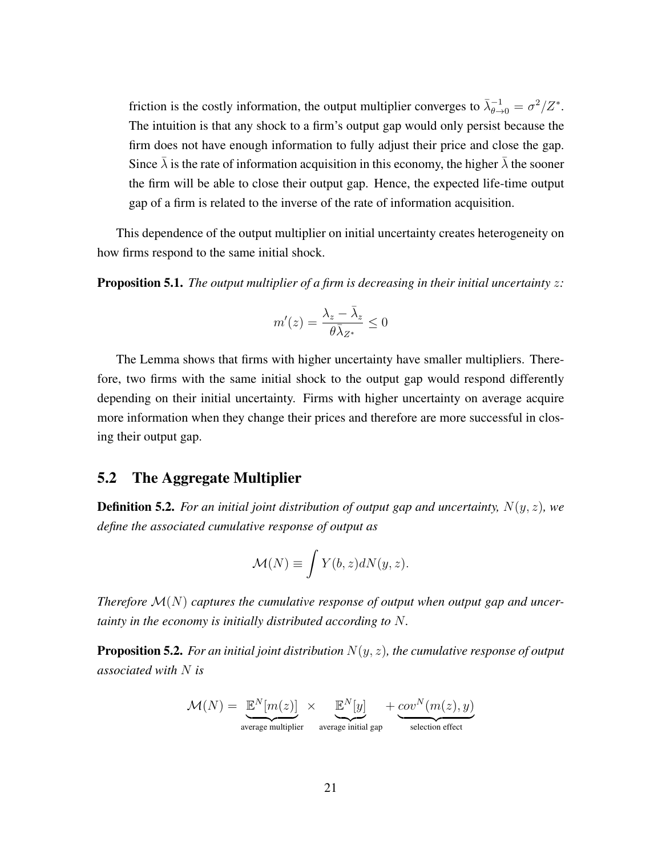friction is the costly information, the output multiplier converges to  $\bar{\lambda}_{\theta \to 0}^{-1} = \sigma^2/Z^*$ . The intuition is that any shock to a firm's output gap would only persist because the firm does not have enough information to fully adjust their price and close the gap. Since  $\lambda$  is the rate of information acquisition in this economy, the higher  $\lambda$  the sooner the firm will be able to close their output gap. Hence, the expected life-time output gap of a firm is related to the inverse of the rate of information acquisition.

This dependence of the output multiplier on initial uncertainty creates heterogeneity on how firms respond to the same initial shock.

**Proposition 5.1.** *The output multiplier of a firm is decreasing in their initial uncertainty z:* 

$$
m'(z) = \frac{\lambda_z - \bar{\lambda}_z}{\theta \bar{\lambda}_{Z^*}} \leq 0
$$

The Lemma shows that firms with higher uncertainty have smaller multipliers. Therefore, two firms with the same initial shock to the output gap would respond differently depending on their initial uncertainty. Firms with higher uncertainty on average acquire more information when they change their prices and therefore are more successful in closing their output gap.

### 5.2 The Aggregate Multiplier

**Definition 5.2.** For an initial joint distribution of output gap and uncertainty,  $N(y, z)$ , we *define the associated cumulative response of output as*

$$
\mathcal{M}(N) \equiv \int Y(b, z)dN(y, z).
$$

*Therefore* M(N) *captures the cumulative response of output when output gap and uncertainty in the economy is initially distributed according to* N*.*

Proposition 5.2. *For an initial joint distribution* N(y, z)*, the cumulative response of output associated with* N *is*

$$
\mathcal{M}(N) = \underbrace{\mathbb{E}^{N}[m(z)]}_{\text{average multiplier}} \times \underbrace{\mathbb{E}^{N}[y]}_{\text{average initial gap}} + \underbrace{cov^{N}(m(z), y)}_{\text{selection effect}}
$$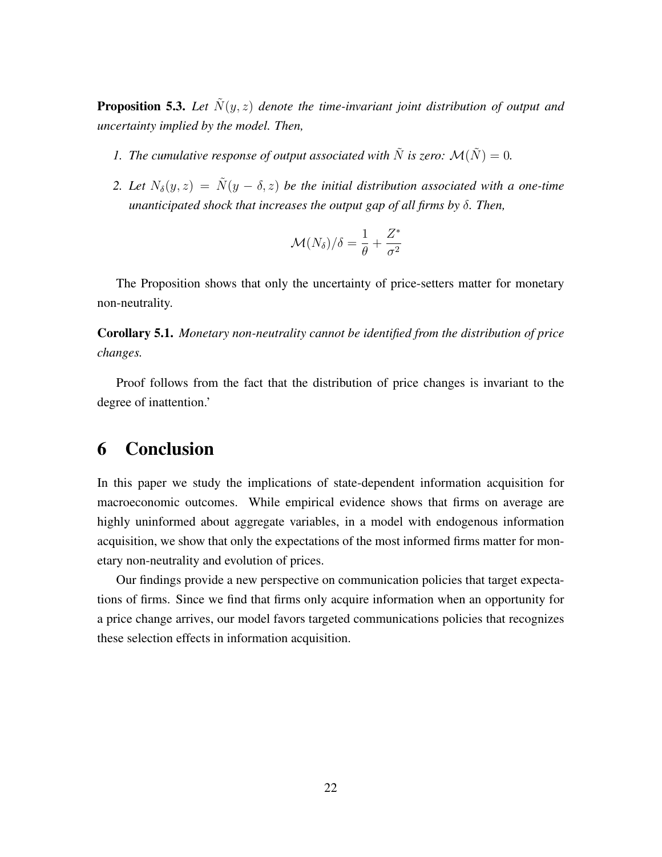**Proposition 5.3.** Let  $\tilde{N}(y, z)$  denote the time-invariant joint distribution of output and *uncertainty implied by the model. Then,*

- *1. The cumulative response of output associated with*  $\tilde{N}$  *is zero:*  $\mathcal{M}(\tilde{N}) = 0$ *.*
- *2. Let*  $N_{\delta}(y, z) = \tilde{N}(y \delta, z)$  *be the initial distribution associated with a one-time unanticipated shock that increases the output gap of all firms by* δ*. Then,*

$$
\mathcal{M}(N_{\delta})/\delta = \frac{1}{\theta} + \frac{Z^*}{\sigma^2}
$$

The Proposition shows that only the uncertainty of price-setters matter for monetary non-neutrality.

Corollary 5.1. *Monetary non-neutrality cannot be identified from the distribution of price changes.*

Proof follows from the fact that the distribution of price changes is invariant to the degree of inattention.'

## 6 Conclusion

In this paper we study the implications of state-dependent information acquisition for macroeconomic outcomes. While empirical evidence shows that firms on average are highly uninformed about aggregate variables, in a model with endogenous information acquisition, we show that only the expectations of the most informed firms matter for monetary non-neutrality and evolution of prices.

Our findings provide a new perspective on communication policies that target expectations of firms. Since we find that firms only acquire information when an opportunity for a price change arrives, our model favors targeted communications policies that recognizes these selection effects in information acquisition.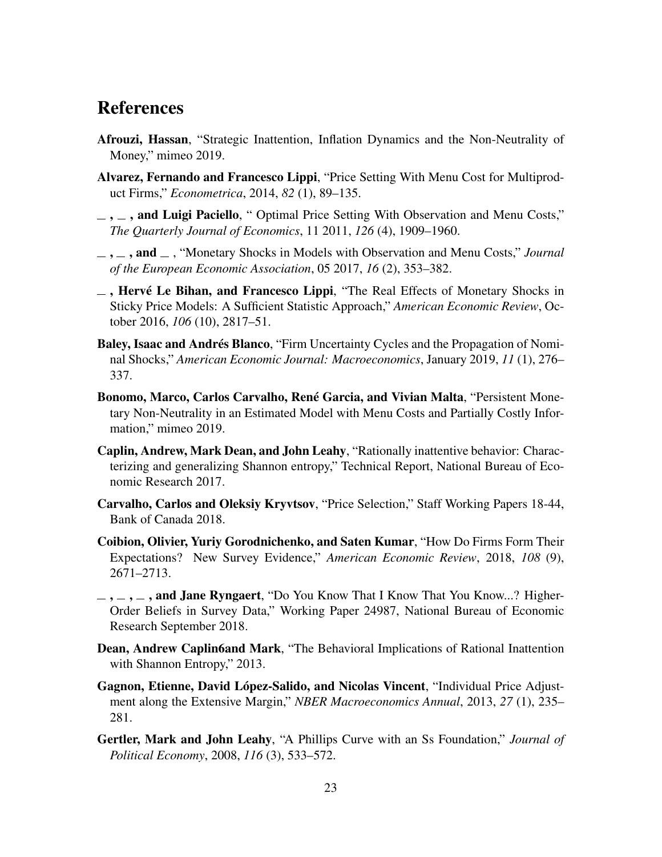## References

- <span id="page-22-2"></span>Afrouzi, Hassan, "Strategic Inattention, Inflation Dynamics and the Non-Neutrality of Money," mimeo 2019.
- <span id="page-22-6"></span>Alvarez, Fernando and Francesco Lippi, "Price Setting With Menu Cost for Multiproduct Firms," *Econometrica*, 2014, *82* (1), 89–135.
- <span id="page-22-7"></span> $\mu =$ ,  $\mu =$ , and Luigi Paciello, "Optimal Price Setting With Observation and Menu Costs," *The Quarterly Journal of Economics*, 11 2011, *126* (4), 1909–1960.
- <span id="page-22-8"></span> $, \ldots$ , and  $\ldots$ , "Monetary Shocks in Models with Observation and Menu Costs," *Journal of the European Economic Association*, 05 2017, *16* (2), 353–382.
- <span id="page-22-0"></span> $\overline{\phantom{a}}$ , Hervé Le Bihan, and Francesco Lippi, "The Real Effects of Monetary Shocks in Sticky Price Models: A Sufficient Statistic Approach," *American Economic Review*, October 2016, *106* (10), 2817–51.
- <span id="page-22-11"></span>Baley, Isaac and Andrés Blanco, "Firm Uncertainty Cycles and the Propagation of Nominal Shocks," *American Economic Journal: Macroeconomics*, January 2019, *11* (1), 276– 337.
- <span id="page-22-9"></span>Bonomo, Marco, Carlos Carvalho, René Garcia, and Vivian Malta, "Persistent Monetary Non-Neutrality in an Estimated Model with Menu Costs and Partially Costly Information," mimeo 2019.
- <span id="page-22-4"></span>Caplin, Andrew, Mark Dean, and John Leahy, "Rationally inattentive behavior: Characterizing and generalizing Shannon entropy," Technical Report, National Bureau of Economic Research 2017.
- <span id="page-22-10"></span>Carvalho, Carlos and Oleksiy Kryvtsov, "Price Selection," Staff Working Papers 18-44, Bank of Canada 2018.
- <span id="page-22-1"></span>Coibion, Olivier, Yuriy Gorodnichenko, and Saten Kumar, "How Do Firms Form Their Expectations? New Survey Evidence," *American Economic Review*, 2018, *108* (9), 2671–2713.
- <span id="page-22-13"></span> $\ldots$ ,  $\ldots$ , and Jane Ryngaert, "Do You Know That I Know That You Know...? Higher-Order Beliefs in Survey Data," Working Paper 24987, National Bureau of Economic Research September 2018.
- <span id="page-22-3"></span>Dean, Andrew Caplin6and Mark, "The Behavioral Implications of Rational Inattention with Shannon Entropy," 2013.
- <span id="page-22-5"></span>Gagnon, Etienne, David López-Salido, and Nicolas Vincent, "Individual Price Adjustment along the Extensive Margin," *NBER Macroeconomics Annual*, 2013, *27* (1), 235– 281.
- <span id="page-22-12"></span>Gertler, Mark and John Leahy, "A Phillips Curve with an Ss Foundation," *Journal of Political Economy*, 2008, *116* (3), 533–572.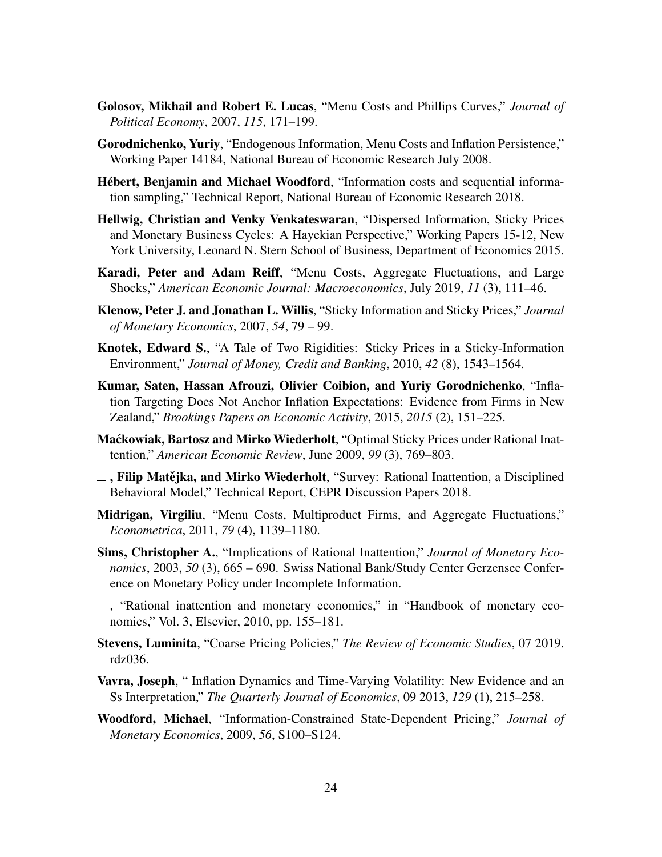- <span id="page-23-2"></span>Golosov, Mikhail and Robert E. Lucas, "Menu Costs and Phillips Curves," *Journal of Political Economy*, 2007, *115*, 171–199.
- <span id="page-23-6"></span>Gorodnichenko, Yuriy, "Endogenous Information, Menu Costs and Inflation Persistence," Working Paper 14184, National Bureau of Economic Research July 2008.
- <span id="page-23-1"></span>Hébert, Benjamin and Michael Woodford, "Information costs and sequential information sampling," Technical Report, National Bureau of Economic Research 2018.
- <span id="page-23-13"></span>Hellwig, Christian and Venky Venkateswaran, "Dispersed Information, Sticky Prices and Monetary Business Cycles: A Hayekian Perspective," Working Papers 15-12, New York University, Leonard N. Stern School of Business, Department of Economics 2015.
- <span id="page-23-15"></span>Karadi, Peter and Adam Reiff, "Menu Costs, Aggregate Fluctuations, and Large Shocks," *American Economic Journal: Macroeconomics*, July 2019, *11* (3), 111–46.
- <span id="page-23-11"></span>Klenow, Peter J. and Jonathan L. Willis, "Sticky Information and Sticky Prices," *Journal of Monetary Economics*, 2007, *54*, 79 – 99.
- <span id="page-23-12"></span>Knotek, Edward S., "A Tale of Two Rigidities: Sticky Prices in a Sticky-Information Environment," *Journal of Money, Credit and Banking*, 2010, *42* (8), 1543–1564.
- <span id="page-23-0"></span>Kumar, Saten, Hassan Afrouzi, Olivier Coibion, and Yuriy Gorodnichenko, "Inflation Targeting Does Not Anchor Inflation Expectations: Evidence from Firms in New Zealand," *Brookings Papers on Economic Activity*, 2015, *2015* (2), 151–225.
- <span id="page-23-5"></span>Mackowiak, Bartosz and Mirko Wiederholt, "Optimal Sticky Prices under Rational Inattention," *American Economic Review*, June 2009, *99* (3), 769–803.
- <span id="page-23-10"></span> $\overline{\phantom{a}}$ , Filip Matějka, and Mirko Wiederholt, "Survey: Rational Inattention, a Disciplined Behavioral Model," Technical Report, CEPR Discussion Papers 2018.
- <span id="page-23-3"></span>Midrigan, Virgiliu, "Menu Costs, Multiproduct Firms, and Aggregate Fluctuations," *Econometrica*, 2011, *79* (4), 1139–1180.
- <span id="page-23-4"></span>Sims, Christopher A., "Implications of Rational Inattention," *Journal of Monetary Economics*, 2003, *50* (3), 665 – 690. Swiss National Bank/Study Center Gerzensee Conference on Monetary Policy under Incomplete Information.
- <span id="page-23-9"></span> $\overline{\phantom{a}}$ , "Rational inattention and monetary economics," in "Handbook of monetary economics," Vol. 3, Elsevier, 2010, pp. 155–181.
- <span id="page-23-8"></span>Stevens, Luminita, "Coarse Pricing Policies," *The Review of Economic Studies*, 07 2019. rdz036.
- <span id="page-23-14"></span>Vavra, Joseph, " Inflation Dynamics and Time-Varying Volatility: New Evidence and an Ss Interpretation," *The Quarterly Journal of Economics*, 09 2013, *129* (1), 215–258.
- <span id="page-23-7"></span>Woodford, Michael, "Information-Constrained State-Dependent Pricing," *Journal of Monetary Economics*, 2009, *56*, S100–S124.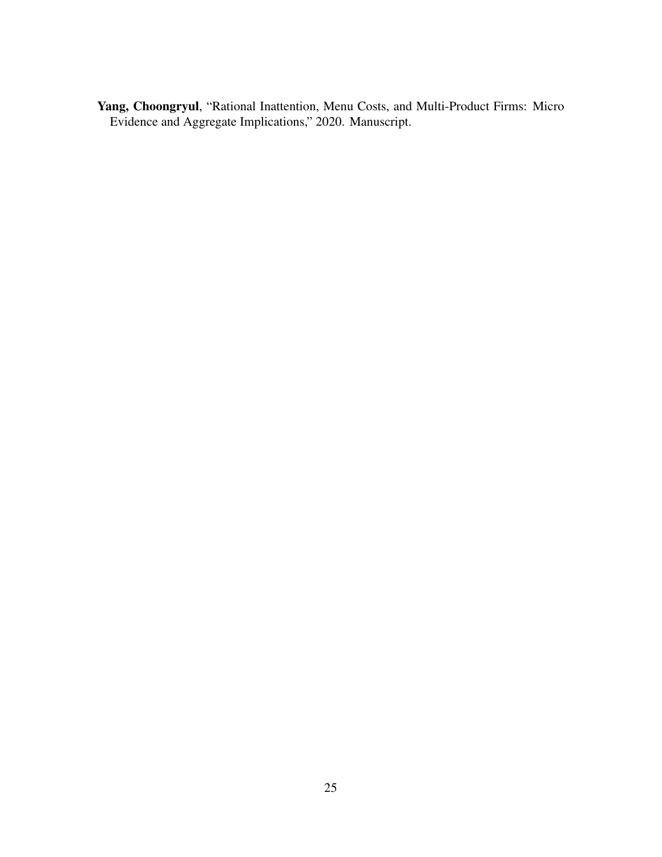<span id="page-24-0"></span>Yang, Choongryul, "Rational Inattention, Menu Costs, and Multi-Product Firms: Micro Evidence and Aggregate Implications," 2020. Manuscript.